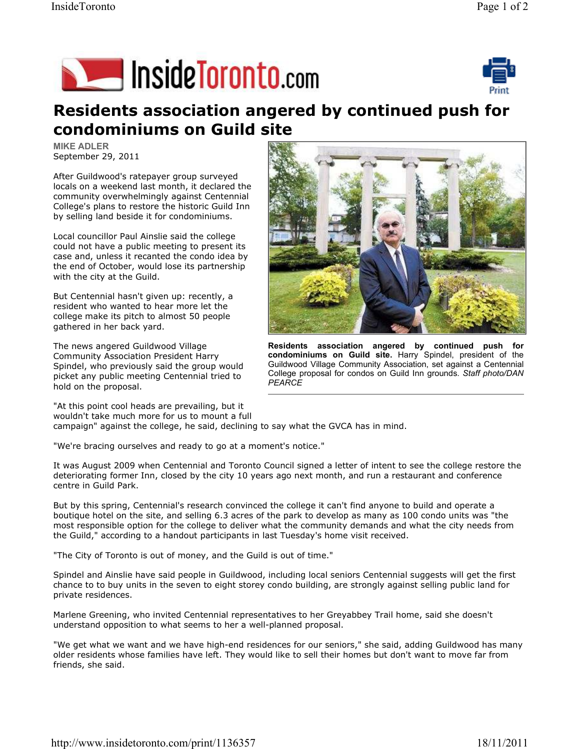## Inside Toronto.com



## Residents association angered by continued push for condominiums on Guild site

MIKE ADLER September 29, 2011

After Guildwood's ratepayer group surveyed locals on a weekend last month, it declared the community overwhelmingly against Centennial College's plans to restore the historic Guild Inn by selling land beside it for condominiums.

Local councillor Paul Ainslie said the college could not have a public meeting to present its case and, unless it recanted the condo idea by the end of October, would lose its partnership with the city at the Guild.

But Centennial hasn't given up: recently, a resident who wanted to hear more let the college make its pitch to almost 50 people gathered in her back yard.

The news angered Guildwood Village Community Association President Harry Spindel, who previously said the group would picket any public meeting Centennial tried to hold on the proposal.



Residents association angered by continued push for condominiums on Guild site. Harry Spindel, president of the Guildwood Village Community Association, set against a Centennial College proposal for condos on Guild Inn grounds. Staff photo/DAN PEARCE

"At this point cool heads are prevailing, but it wouldn't take much more for us to mount a full campaign" against the college, he said, declining to say what the GVCA has in mind.

"We're bracing ourselves and ready to go at a moment's notice."

It was August 2009 when Centennial and Toronto Council signed a letter of intent to see the college restore the deteriorating former Inn, closed by the city 10 years ago next month, and run a restaurant and conference centre in Guild Park.

But by this spring, Centennial's research convinced the college it can't find anyone to build and operate a boutique hotel on the site, and selling 6.3 acres of the park to develop as many as 100 condo units was "the most responsible option for the college to deliver what the community demands and what the city needs from the Guild," according to a handout participants in last Tuesday's home visit received.

"The City of Toronto is out of money, and the Guild is out of time."

Spindel and Ainslie have said people in Guildwood, including local seniors Centennial suggests will get the first chance to to buy units in the seven to eight storey condo building, are strongly against selling public land for private residences.

Marlene Greening, who invited Centennial representatives to her Greyabbey Trail home, said she doesn't understand opposition to what seems to her a well-planned proposal.

"We get what we want and we have high-end residences for our seniors," she said, adding Guildwood has many older residents whose families have left. They would like to sell their homes but don't want to move far from friends, she said.